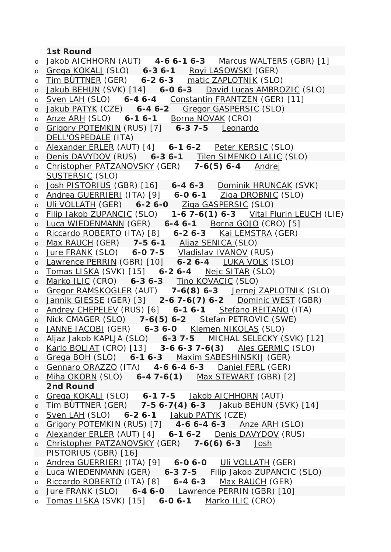## **1st Round**

| $\circ$ | Jakob AICHHORN (AUT) 4-6 6-1 6-3 Marcus WALTERS (GBR) [1]                                                              |
|---------|------------------------------------------------------------------------------------------------------------------------|
|         | o Grega KOKALJ (SLO) 6-3 6-1 Royi LASOWSKI (GER)                                                                       |
| $\circ$ | Tim BÜTTNER (GER) 6-2 6-3 matic ZAPLOTNIK (SLO)                                                                        |
| $\circ$ | Jakub BEHUN (SVK) [14] 6-0 6-3 David Lucas AMBROZIC (SLO)                                                              |
| $\circ$ | Sven LAH (SLO) 6-4 6-4 Constantin FRANTZEN (GER) [11]                                                                  |
| $\circ$ | Jakub PATYK (CZE) 6-4 6-2 Gregor GASPERSIC (SLO)                                                                       |
| $\circ$ | Anze ARH (SLO) 6-1 6-1 Borna NOVAK (CRO)                                                                               |
| $\circ$ | Grigory POTEMKIN (RUS) [7] 6-3 7-5 Leonardo                                                                            |
|         | DELL'OSPEDALE (ITA)                                                                                                    |
| $\circ$ | Alexander ERLER (AUT) [4] 6-1 6-2 Peter KERSIC (SLO)                                                                   |
| $\circ$ | Denis DAVYDOV (RUS) 6-3 6-1 Tilen SIMENKO LALIC (SLO)                                                                  |
|         | Christopher PATZANOVSKY (GER) 7-6(5) 6-4 Andrej                                                                        |
| $\circ$ | <b>SUSTERSIC (SLO)</b>                                                                                                 |
|         |                                                                                                                        |
| $\circ$ | Josh PISTORIUS (GBR) [16] 6-4 6-3 Dominik HRUNCAK (SVK)                                                                |
| $\circ$ | Andrea GUERRIERI (ITA) [9] 6-0 6-1 Ziga DROBNIC (SLO)                                                                  |
| $\circ$ | Uli VOLLATH (GER) 6-2 6-0 Ziga GASPERSIC (SLO)                                                                         |
| $\circ$ | Filip Jakob ZUPANCIC (SLO) 1-6 7-6(1) 6-3 Vital Flurin LEUCH (LIE)                                                     |
| $\circ$ | Luca WIEDENMANN (GER) 6-4 6-1 Borna GOJO (CRO) [5]                                                                     |
| $\circ$ | Riccardo ROBERTO (ITA) [8] 6-2 6-3 Kai LEMSTRA (GER)                                                                   |
| $\circ$ | Max RAUCH (GER) 7-5 6-1 Aljaz SENICA (SLO)                                                                             |
| $\circ$ | Jure FRANK (SLO) 6-0 7-5 Vladislav IVANOV (RUS)                                                                        |
| $\circ$ | $\frac{1}{\text{Lawrence PERRIN (GBR) [10]}} \left( \frac{1}{6-26-4} \right) \left( \frac{1}{\text{UKA VOLK}} \right)$ |
| $\circ$ | Tomas LISKA (SVK) [15] 6-2 6-4 Nejc SITAR (SLO)                                                                        |
| $\circ$ | Marko ILIC (CRO) 6-3 6-3 Tino KOVACIC (SLO)                                                                            |
| $\circ$ | Gregor RAMSKOGLER (AUT) 7-6(8) 6-3 Jernej ZAPLOTNIK (SLO)                                                              |
| $\circ$ | Jannik GIESSE (GER) [3] 2-6 7-6(7) 6-2 Dominic WEST (GBR)                                                              |
| $\circ$ | Andrey CHEPELEV (RUS) [6] 6-1 6-1 Stefano REITANO (ITA)                                                                |
| $\circ$ | Nick CMAGER (SLO) 7-6(5) 6-2 Stefan PETROVIC (SWE)                                                                     |
| $\circ$ | JANNE JACOBI (GER) 6-3 6-0 Klemen NIKOLAS (SLO)                                                                        |
|         | o Aljaz Jakob KAPLJA (SLO) 6-3 7-5 MICHAL SELECKY (SVK) [12]                                                           |
| $\circ$ | Karlo BOLJAT (CRO) [13] 3-6 6-3 7-6(3) Ales GERMIC (SLO)                                                               |
|         | o Grega BOH (SLO) 6-1 6-3 Maxim SABESHINSKIJ (GER)                                                                     |
| $\circ$ | Gennaro ORAZZO (ITA) 4-6 6-4 6-3 Daniel FERL (GER)                                                                     |
|         | o Miha OKORN (SLO) 6-4 7-6(1) Max STEWART (GBR) [2]                                                                    |
|         | 2nd Round                                                                                                              |
| $\circ$ | Grega KOKALJ (SLO) 6-1 7-5 Jakob AICHHORN (AUT)                                                                        |
|         | O Tim BUTTNER (GER) 7-5 6-7(4) 6-3 Jakub BEHUN (SVK) [14]                                                              |
| $\circ$ | Sven LAH (SLO) 6-2 6-1 Jakub PATYK (CZE)                                                                               |
|         | o Grigory POTEMKIN (RUS) [7] 4-6 6-4 6-3 Anze ARH (SLO)                                                                |
| $\circ$ | Alexander ERLER (AUT) [4] 6-1 6-2 Denis DAVYDOV (RUS)                                                                  |
|         | o Christopher PATZANOVSKY (GER) 7-6(6) 6-3 Josh                                                                        |
|         | PISTORIUS (GBR) [16]                                                                                                   |
| $\circ$ | Andrea GUERRIERI (ITA) [9] 6-0 6-0 Uli VOLLATH (GER)                                                                   |
|         | o Luca WIEDENMANN (GER) 6-3 7-5 Filip Jakob ZUPANCIC (SLO)                                                             |
| $\circ$ | Riccardo ROBERTO (ITA) [8] 6-4 6-3 Max RAUCH (GER)                                                                     |
|         | o Jure FRANK (SLO) 6-4 6-0 Lawrence PERRIN (GBR) [10]                                                                  |
|         | o Tomas LISKA (SVK) [15] 6-0 6-1 Marko ILIC (CRO)                                                                      |
|         |                                                                                                                        |